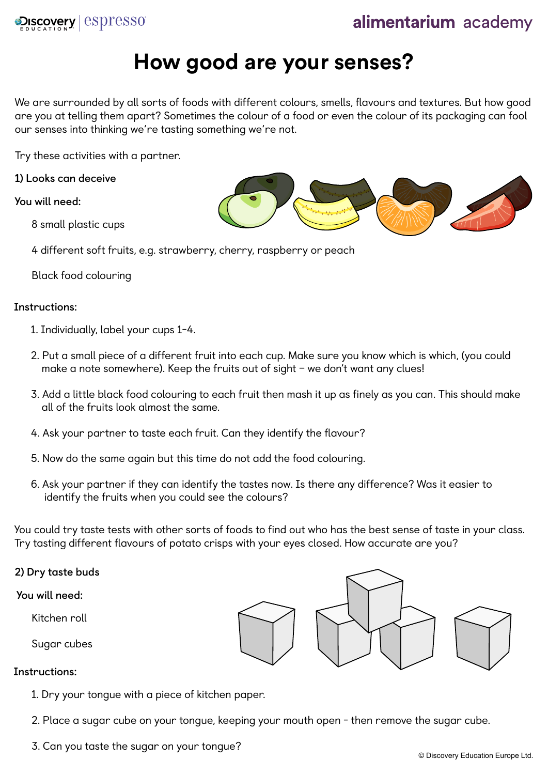

# **How good are your senses?**

We are surrounded by all sorts of foods with different colours, smells, flavours and textures. But how good are you at telling them apart? Sometimes the colour of a food or even the colour of its packaging can fool our senses into thinking we're tasting something we're not.

Try these activities with a partner.

**1) Looks can deceive**

**You will need:**

8 small plastic cups

4 different soft fruits, e.g. strawberry, cherry, raspberry or peach

Black food colouring

## **Instructions:**

- 1. Individually, label your cups 1-4.
- 2. Put a small piece of a different fruit into each cup. Make sure you know which is which, (you could make a note somewhere). Keep the fruits out of sight – we don't want any clues!
- 3. Add a little black food colouring to each fruit then mash it up as finely as you can. This should make all of the fruits look almost the same.
- 4. Ask your partner to taste each fruit. Can they identify the flavour?
- 5. Now do the same again but this time do not add the food colouring.
- 6. Ask your partner if they can identify the tastes now. Is there any difference? Was it easier to identify the fruits when you could see the colours?

You could try taste tests with other sorts of foods to find out who has the best sense of taste in your class. Try tasting different flavours of potato crisps with your eyes closed. How accurate are you?

**2) Dry taste buds**

**You will need:**

Kitchen roll

Sugar cubes

# **Instructions:**

1. Dry your tongue with a piece of kitchen paper.

2. Place a sugar cube on your tongue, keeping your mouth open - then remove the sugar cube.

3. Can you taste the sugar on your tongue?